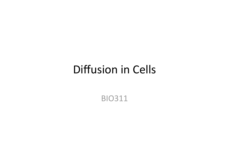### Diffusion in Cells

BIO311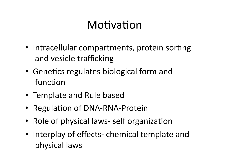## Motivation

- Intracellular compartments, protein sorting and vesicle trafficking
- Genetics regulates biological form and function
- Template and Rule based
- Regulation of DNA-RNA-Protein
- Role of physical laws- self organization
- Interplay of effects- chemical template and physical laws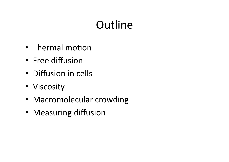# **Outline**

- Thermal motion
- Free diffusion
- Diffusion in cells
- Viscosity
- Macromolecular crowding
- Measuring diffusion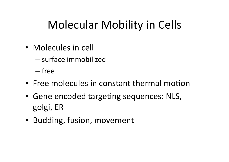# Molecular Mobility in Cells

- Molecules in cell
	- surface immobilized

– free

- Free molecules in constant thermal motion
- Gene encoded targeting sequences: NLS, golgi, ER
- Budding, fusion, movement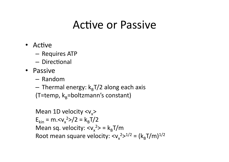### Active or Passive

- Active
	- Requires ATP
	- Directional
- Passive
	- Random
	- $-$  Thermal energy:  $k_{B}T/2$  along each axis (T=temp,  $k_B$ =boltzmann's constant)

Mean 1D velocity  $\langle v_x \rangle$  $E_{kin} = m. < v_x^2 > /2 = k_B T / 2$ Mean sq. velocity:  $< v_x^2 > = k_B T/m$ Root mean square velocity:  $\langle v_x^2 \rangle^{1/2} = (k_B T/m)^{1/2}$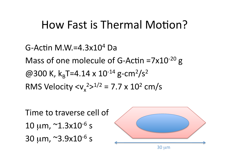### How Fast is Thermal Motion?

G-Actin M.W.=4.3x10<sup>4</sup> Da Mass of one molecule of G-Actin =7 $x10^{-20}$  g @300 K,  $k_{B}T=4.14 \times 10^{-14}$  g-cm<sup>2</sup>/s<sup>2</sup> RMS Velocity  $\langle v_x^2 \rangle^{1/2} = 7.7 \times 10^2 \text{ cm/s}$ 

Time to traverse cell of  $10 \mu m$ ,  $^2$ 1.3x10<sup>-6</sup> s 30  $\mu$ m,  $\approx$ 3.9x10<sup>-6</sup> s

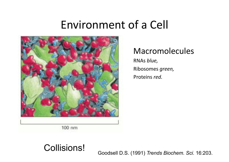### Environment of a Cell



#### Macromolecules

RNAs *blue,* Ribosomes *green,* Proteins *red.* 

100 nm

#### Collisions!

Goodsell D.S. (1991) *Trends Biochem. Sci.* 16:203.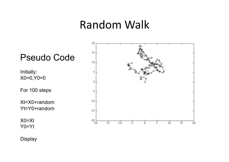#### Random Walk



**Display**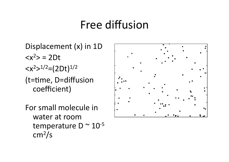### Free diffusion

Displacement (x) in 1D  $= 2Dt$  $1/2=(2Dt)^{1/2}$ (t=time, D=diffusion coefficient)

For small molecule in water at room temperature D  $\sim$  10<sup>-5</sup>  $cm<sup>2</sup>/s$ 

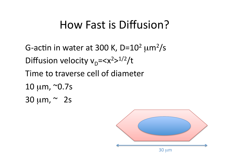# How Fast is Diffusion?

G-actin in water at 300 K, D=10<sup>2</sup>  $\mu$ m<sup>2</sup>/s Diffusion velocity  $v_D = 1/2/t$ Time to traverse cell of diameter  $10 \mu m$ ,  $\sim 0.7$ s  $30 \mu m$ ,  $\sim 2s$ 

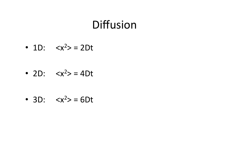### **Diffusion**

• 1D:  $= 2Dt$ 

• 2D:  $= 4Dt$ 

• 3D:  $= 6Dt$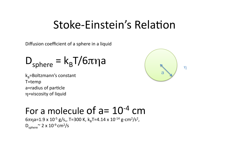#### Stoke-Einstein's Relation

Diffusion coefficient of a sphere in a liquid

$$
D_{sphere} = k_{B}T/6\pi\eta a
$$

 $k_B$ =Boltzmann's constant T=temp a=radius of particle η=viscosity of liquid



#### For a molecule of  $a=10^{-4}$  cm

6πηa=1.9 x 10<sup>-5</sup> g/s,, T=300 K, k<sub>B</sub>T=4.14 x 10<sup>-14</sup> g-cm<sup>2</sup>/s<sup>2</sup>,  $D_{sphere}^{\sim}$  2 x 10<sup>-9</sup> cm<sup>2</sup>/s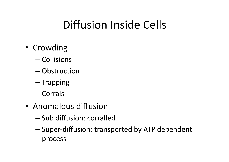# Diffusion Inside Cells

- Crowding
	- Collisions
	- $-$  Obstruction
	- Trapping
	- Corrals
- Anomalous diffusion
	- Sub diffusion: corralled
	- Super‐diffusion: transported by ATP dependent process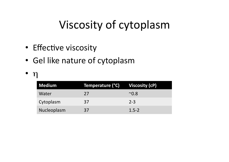# Viscosity of cytoplasm

- Effective viscosity
- Gel like nature of cytoplasm
- η

| <b>Medium</b> | Temperature (°C) | Viscosity (cP) |
|---------------|------------------|----------------|
| Water         | 27               | $^{\sim}0.8$   |
| Cytoplasm     | 37               | $2 - 3$        |
| Nucleoplasm   | 37               | $1.5 - 2$      |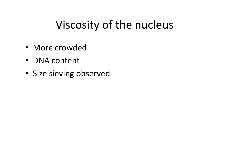# Viscosity of the nucleus

- More crowded
- DNA content
- Size sieving observed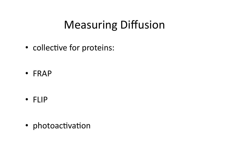# Measuring Diffusion

• collective for proteins:

• FRAP

• FLIP

• photoactivation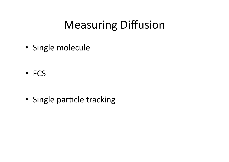# Measuring Diffusion

• Single molecule

• FCS

• Single particle tracking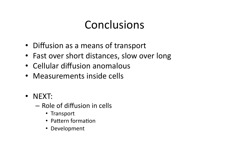# Conclusions

- Diffusion as a means of transport
- Fast over short distances, slow over long
- Cellular diffusion anomalous
- Measurements inside cells
- NEXT:
	- Role of diffusion in cells
		- Transport
		- Pattern formation
		- Development